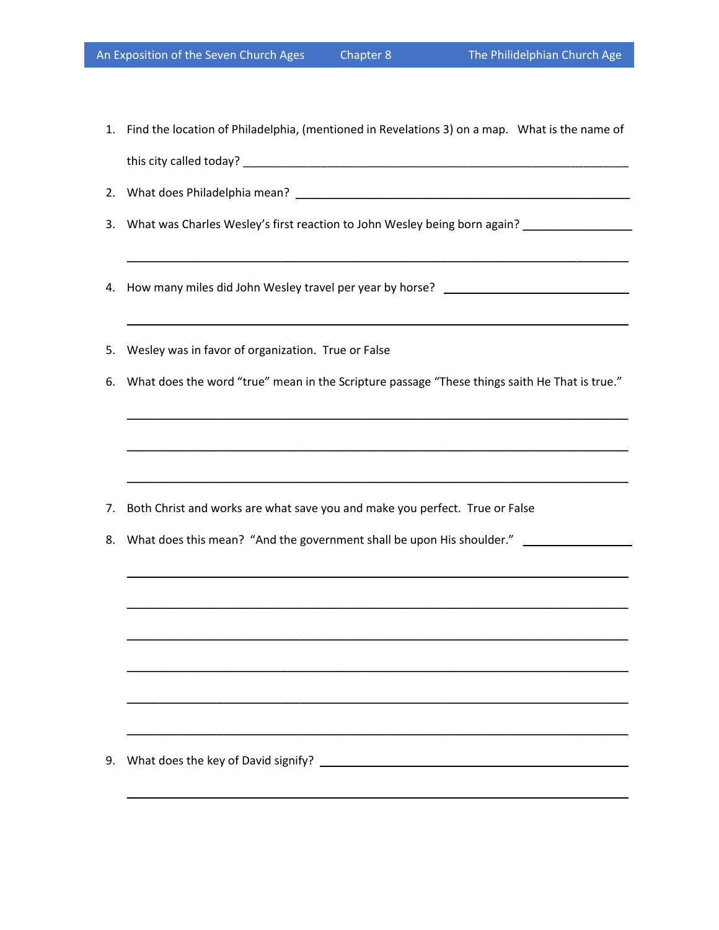1. Find the location of Philadelphia, (mentioned in Revelations 3) on a map. What is the name of this city called today? \_\_\_\_\_\_\_\_\_\_\_\_\_\_\_\_\_\_\_\_\_\_\_\_\_\_\_\_\_\_\_\_\_\_\_\_\_\_\_\_\_\_\_\_\_\_\_\_\_\_\_\_\_\_\_\_\_\_\_\_

\_\_\_\_\_\_\_\_\_\_\_\_\_\_\_\_\_\_\_\_\_\_\_\_\_\_\_\_\_\_\_\_\_\_\_\_\_\_\_\_\_\_\_\_\_\_\_\_\_\_\_\_\_\_\_\_\_\_\_\_\_\_\_\_\_\_\_\_\_\_\_\_\_\_\_\_\_\_

\_\_\_\_\_\_\_\_\_\_\_\_\_\_\_\_\_\_\_\_\_\_\_\_\_\_\_\_\_\_\_\_\_\_\_\_\_\_\_\_\_\_\_\_\_\_\_\_\_\_\_\_\_\_\_\_\_\_\_\_\_\_\_\_\_\_\_\_\_\_\_\_\_\_\_\_\_\_

\_\_\_\_\_\_\_\_\_\_\_\_\_\_\_\_\_\_\_\_\_\_\_\_\_\_\_\_\_\_\_\_\_\_\_\_\_\_\_\_\_\_\_\_\_\_\_\_\_\_\_\_\_\_\_\_\_\_\_\_\_\_\_\_\_\_\_\_\_\_\_\_\_\_\_\_\_\_

\_\_\_\_\_\_\_\_\_\_\_\_\_\_\_\_\_\_\_\_\_\_\_\_\_\_\_\_\_\_\_\_\_\_\_\_\_\_\_\_\_\_\_\_\_\_\_\_\_\_\_\_\_\_\_\_\_\_\_\_\_\_\_\_\_\_\_\_\_\_\_\_\_\_\_\_\_\_

\_\_\_\_\_\_\_\_\_\_\_\_\_\_\_\_\_\_\_\_\_\_\_\_\_\_\_\_\_\_\_\_\_\_\_\_\_\_\_\_\_\_\_\_\_\_\_\_\_\_\_\_\_\_\_\_\_\_\_\_\_\_\_\_\_\_\_\_\_\_\_\_\_\_\_\_\_\_

\_\_\_\_\_\_\_\_\_\_\_\_\_\_\_\_\_\_\_\_\_\_\_\_\_\_\_\_\_\_\_\_\_\_\_\_\_\_\_\_\_\_\_\_\_\_\_\_\_\_\_\_\_\_\_\_\_\_\_\_\_\_\_\_\_\_\_\_\_\_\_\_\_\_\_\_\_\_

\_\_\_\_\_\_\_\_\_\_\_\_\_\_\_\_\_\_\_\_\_\_\_\_\_\_\_\_\_\_\_\_\_\_\_\_\_\_\_\_\_\_\_\_\_\_\_\_\_\_\_\_\_\_\_\_\_\_\_\_\_\_\_\_\_\_\_\_\_\_\_\_\_\_\_\_\_\_

\_\_\_\_\_\_\_\_\_\_\_\_\_\_\_\_\_\_\_\_\_\_\_\_\_\_\_\_\_\_\_\_\_\_\_\_\_\_\_\_\_\_\_\_\_\_\_\_\_\_\_\_\_\_\_\_\_\_\_\_\_\_\_\_\_\_\_\_\_\_\_\_\_\_\_\_\_\_

\_\_\_\_\_\_\_\_\_\_\_\_\_\_\_\_\_\_\_\_\_\_\_\_\_\_\_\_\_\_\_\_\_\_\_\_\_\_\_\_\_\_\_\_\_\_\_\_\_\_\_\_\_\_\_\_\_\_\_\_\_\_\_\_\_\_\_\_\_\_\_\_\_\_\_\_\_\_

\_\_\_\_\_\_\_\_\_\_\_\_\_\_\_\_\_\_\_\_\_\_\_\_\_\_\_\_\_\_\_\_\_\_\_\_\_\_\_\_\_\_\_\_\_\_\_\_\_\_\_\_\_\_\_\_\_\_\_\_\_\_\_\_\_\_\_\_\_\_\_\_\_\_\_\_\_\_

\_\_\_\_\_\_\_\_\_\_\_\_\_\_\_\_\_\_\_\_\_\_\_\_\_\_\_\_\_\_\_\_\_\_\_\_\_\_\_\_\_\_\_\_\_\_\_\_\_\_\_\_\_\_\_\_\_\_\_\_\_\_\_\_\_\_\_\_\_\_\_\_\_\_\_\_\_\_

\_\_\_\_\_\_\_\_\_\_\_\_\_\_\_\_\_\_\_\_\_\_\_\_\_\_\_\_\_\_\_\_\_\_\_\_\_\_\_\_\_\_\_\_\_\_\_\_\_\_\_\_\_\_\_\_\_\_\_\_\_\_\_\_\_\_\_\_\_\_\_\_\_\_\_\_\_\_

- 2. What does Philadelphia mean? \_\_\_\_\_\_\_\_\_\_\_\_\_\_\_\_\_\_\_\_\_\_\_\_\_\_\_\_\_\_\_\_\_\_\_\_\_\_\_\_\_\_\_\_\_\_\_\_\_\_\_\_
- 3. What was Charles Wesley's first reaction to John Wesley being born again? \_\_\_\_\_\_\_\_\_\_\_\_\_\_\_\_\_\_\_\_\_\_
- 4. How many miles did John Wesley travel per year by horse? \_\_\_\_\_\_\_\_\_\_\_\_\_\_\_\_\_\_\_\_
- 5. Wesley was in favor of organization. True or False
- 6. What does the word "true" mean in the Scripture passage "These things saith He That is true."

- 7. Both Christ and works are what save you and make you perfect. True or False
- 8. What does this mean? "And the government shall be upon His shoulder." \_\_\_\_\_\_\_\_\_\_\_\_\_\_

9. What does the key of David signify? \_\_\_\_\_\_\_\_\_\_\_\_\_\_\_\_\_\_\_\_\_\_\_\_\_\_\_\_\_\_\_\_\_\_\_\_\_\_\_\_\_\_\_\_\_\_\_\_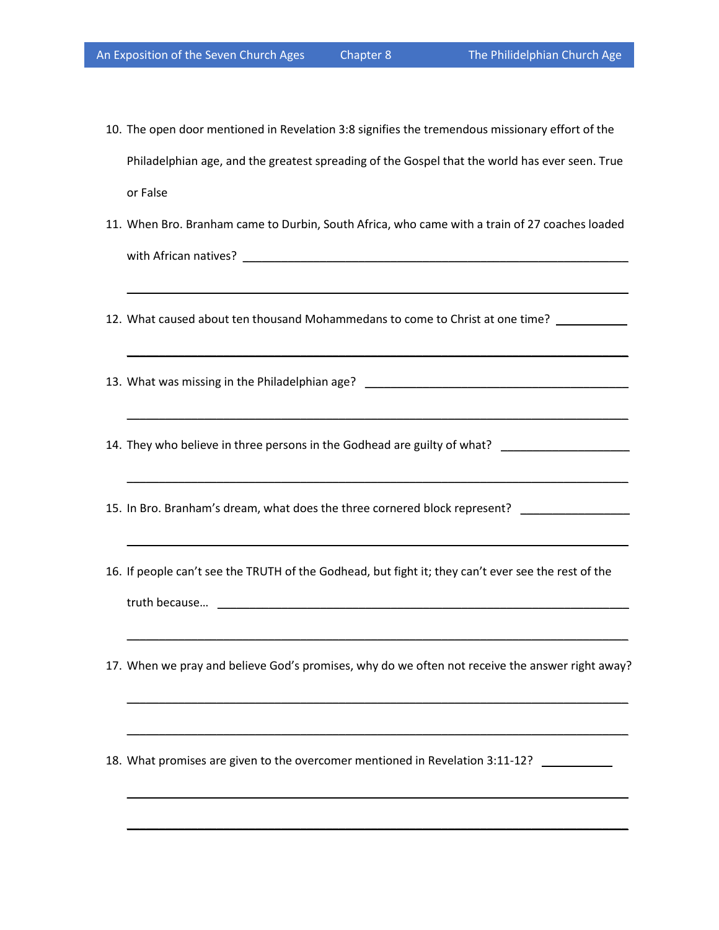- 10. The open door mentioned in Revelation 3:8 signifies the tremendous missionary effort of the Philadelphian age, and the greatest spreading of the Gospel that the world has ever seen. True or False
- 11. When Bro. Branham came to Durbin, South Africa, who came with a train of 27 coaches loaded with African natives? \_\_\_\_\_\_\_\_\_\_\_\_\_\_\_\_\_\_\_\_\_\_\_\_\_\_\_\_\_\_\_\_\_\_\_\_\_\_\_\_\_\_\_\_\_\_\_\_\_\_\_\_\_\_\_\_\_\_\_\_

\_\_\_\_\_\_\_\_\_\_\_\_\_\_\_\_\_\_\_\_\_\_\_\_\_\_\_\_\_\_\_\_\_\_\_\_\_\_\_\_\_\_\_\_\_\_\_\_\_\_\_\_\_\_\_\_\_\_\_\_\_\_\_\_\_\_\_\_\_\_\_\_\_\_\_\_\_\_

\_\_\_\_\_\_\_\_\_\_\_\_\_\_\_\_\_\_\_\_\_\_\_\_\_\_\_\_\_\_\_\_\_\_\_\_\_\_\_\_\_\_\_\_\_\_\_\_\_\_\_\_\_\_\_\_\_\_\_\_\_\_\_\_\_\_\_\_\_\_\_\_\_\_\_\_\_\_

\_\_\_\_\_\_\_\_\_\_\_\_\_\_\_\_\_\_\_\_\_\_\_\_\_\_\_\_\_\_\_\_\_\_\_\_\_\_\_\_\_\_\_\_\_\_\_\_\_\_\_\_\_\_\_\_\_\_\_\_\_\_\_\_\_\_\_\_\_\_\_\_\_\_\_\_\_\_

\_\_\_\_\_\_\_\_\_\_\_\_\_\_\_\_\_\_\_\_\_\_\_\_\_\_\_\_\_\_\_\_\_\_\_\_\_\_\_\_\_\_\_\_\_\_\_\_\_\_\_\_\_\_\_\_\_\_\_\_\_\_\_\_\_\_\_\_\_\_\_\_\_\_\_\_\_\_

\_\_\_\_\_\_\_\_\_\_\_\_\_\_\_\_\_\_\_\_\_\_\_\_\_\_\_\_\_\_\_\_\_\_\_\_\_\_\_\_\_\_\_\_\_\_\_\_\_\_\_\_\_\_\_\_\_\_\_\_\_\_\_\_\_\_\_\_\_\_\_\_\_\_\_\_\_\_

- 12. What caused about ten thousand Mohammedans to come to Christ at one time? \_\_\_\_\_\_\_\_\_
- 13. What was missing in the Philadelphian age?
- 14. They who believe in three persons in the Godhead are guilty of what? \_\_\_\_\_\_\_\_
- 15. In Bro. Branham's dream, what does the three cornered block represent? \_\_\_\_\_\_\_\_\_\_\_\_
- 16. If people can't see the TRUTH of the Godhead, but fight it; they can't ever see the rest of the truth because... **\_\_\_\_\_\_**
- 17. When we pray and believe God's promises, why do we often not receive the answer right away?

\_\_\_\_\_\_\_\_\_\_\_\_\_\_\_\_\_\_\_\_\_\_\_\_\_\_\_\_\_\_\_\_\_\_\_\_\_\_\_\_\_\_\_\_\_\_\_\_\_\_\_\_\_\_\_\_\_\_\_\_\_\_\_\_\_\_\_\_\_\_\_\_\_\_\_\_\_\_

\_\_\_\_\_\_\_\_\_\_\_\_\_\_\_\_\_\_\_\_\_\_\_\_\_\_\_\_\_\_\_\_\_\_\_\_\_\_\_\_\_\_\_\_\_\_\_\_\_\_\_\_\_\_\_\_\_\_\_\_\_\_\_\_\_\_\_\_\_\_\_\_\_\_\_\_\_\_

\_\_\_\_\_\_\_\_\_\_\_\_\_\_\_\_\_\_\_\_\_\_\_\_\_\_\_\_\_\_\_\_\_\_\_\_\_\_\_\_\_\_\_\_\_\_\_\_\_\_\_\_\_\_\_\_\_\_\_\_\_\_\_\_\_\_\_\_\_\_\_\_\_\_\_\_\_\_

\_\_\_\_\_\_\_\_\_\_\_\_\_\_\_\_\_\_\_\_\_\_\_\_\_\_\_\_\_\_\_\_\_\_\_\_\_\_\_\_\_\_\_\_\_\_\_\_\_\_\_\_\_\_\_\_\_\_\_\_\_\_\_\_\_\_\_\_\_\_\_\_\_\_\_\_\_\_

\_\_\_\_\_\_\_\_\_\_\_\_\_\_\_\_\_\_\_\_\_\_\_\_\_\_\_\_\_\_\_\_\_\_\_\_\_\_\_\_\_\_\_\_\_\_\_\_\_\_\_\_\_\_\_\_\_\_\_\_\_\_\_\_\_\_\_\_\_\_\_\_\_\_\_\_\_\_

18. What promises are given to the overcomer mentioned in Revelation 3:11-12? \_\_\_\_\_\_\_\_\_